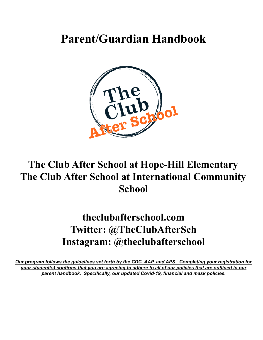# **Parent/Guardian Handbook**



# **The Club After School at Hope-Hill Elementary The Club After School at International Community School**

# **theclubafterschool.com Twitter: @TheClubAfterSch Instagram: @theclubafterschool**

*Our program follows the guidelines set forth by the CDC, AAP, and APS. Completing your registration for* your student(s) confirms that you are agreeing to adhere to all of our policies that are outlined in our *parent handbook. Specifically, our updated Covid-19, financial and mask policies.*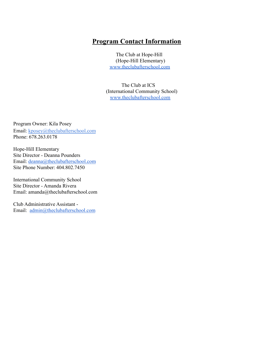## **Program Contact Information**

The Club at Hope-Hill (Hope-Hill Elementary) [www.theclubafterschool.com](http://www.theclubafterschool.com)

The Club at ICS (International Community School) [www.theclubafterschool.com](http://www.theclubafterschool.com)

Program Owner: Kila Posey Email: [kposey@theclubafterschool.com](mailto:kposey@theclubafterschool.com) Phone: 678.263.0178

Hope-Hill Elementary Site Director - Deanna Pounders Email: [deanna@theclubafterschool.com](mailto:deanna@theclubafterschool.com) Site Phone Number: 404.802.7450

International Community School Site Director - Amanda Rivera Email: amanda@theclubafterschool.com

Club Administrative Assistant - Email: [admin@theclubafterschool.com](mailto:admin@theclubafterschool.com)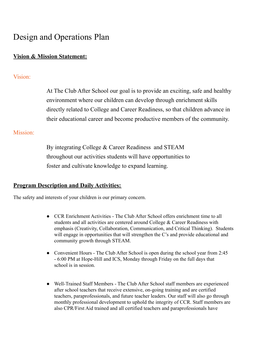# Design and Operations Plan

### **Vision & Mission Statement:**

### Vision:

At The Club After School our goal is to provide an exciting, safe and healthy environment where our children can develop through enrichment skills directly related to College and Career Readiness, so that children advance in their educational career and become productive members of the community.

### Mission:

By integrating College & Career Readiness and STEAM throughout our activities students will have opportunities to foster and cultivate knowledge to expand learning.

### **Program Description and Daily Activities:**

The safety and interests of your children is our primary concern.

- CCR Enrichment Activities The Club After School offers enrichment time to all students and all activities are centered around College & Career Readiness with emphasis (Creativity, Collaboration, Communication, and Critical Thinking). Students will engage in opportunities that will strengthen the C's and provide educational and community growth through STEAM.
- Convenient Hours The Club After School is open during the school year from 2:45 - 6:00 PM at Hope-Hill and ICS, Monday through Friday on the full days that school is in session.
- Well-Trained Staff Members The Club After School staff members are experienced after school teachers that receive extensive, on-going training and are certified teachers, paraprofessionals, and future teacher leaders. Our staff will also go through monthly professional development to uphold the integrity of CCR. Staff members are also CPR/First Aid trained and all certified teachers and paraprofessionals have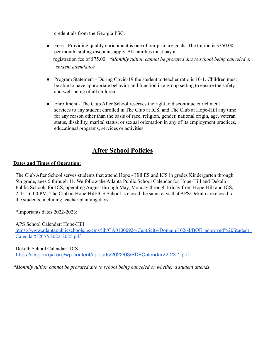credentials from the Georgia PSC.

- Fees Providing quality enrichment is one of our primary goals. The tuition is \$350.00 per month, sibling discounts apply. All families must pay a registration fee of \$75.00. *\*Monthly tuition cannot be prorated due to school being canceled or student attendance.*
- Program Statement During Covid-19 the student to teacher ratio is 10-1. Children must be able to have appropriate behavior and function in a group setting to ensure the safety and well-being of all children.
- Enrollment The Club After School reserves the right to discontinue enrichment services to any student enrolled in The Club at ICS, and The Club at Hope-Hill any time for any reason other than the basis of race, religion, gender, national origin, age, veteran status, disability, marital status, or sexual orientation in any of its employment practices, educational programs, services or activities.

## **After School Policies**

#### **Dates and Times of Operation:**

The Club After School serves students that attend Hope - Hill ES and ICS in grades Kindergarten through 5th grade, ages 5 through 11. We follow the Atlanta Public School Calendar for Hope-Hill and Dekalb Public Schools for ICS, operating August through May, Monday through Friday from Hope-Hill and ICS, 2:45 - 6:00 PM. The Club at Hope-Hill/ICS School is closed the same days that APS/Dekalb are closed to the students, including teacher planning days.

\*Importants dates 2022-2023:

APS School Calendar: Hope-Hill https://www.atlantapublicschools.us/cms/lib/GA01000924/Centricity/Domain/10264/BOE\_approved%20Student [Calendar%20SY2022-2025.pdf](https://www.atlantapublicschools.us/cms/lib/GA01000924/Centricity/Domain/10264/BOE_approved%20Student_Calendar%20SY2022-2025.pdf)

Dekalb School Calendar: ICS <https://icsgeorgia.org/wp-content/uploads/2022/03/PDFCalendar22-23-1.pdf>

*\*Monthly tuition cannot be prorated due to school being canceled or whether a student attends.*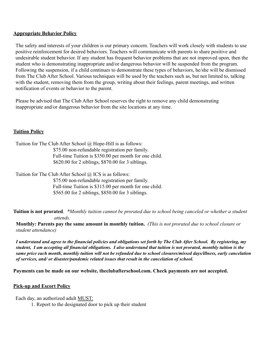#### **Appropriate Behavior Policy**

The safety and interests of your children is our primary concern. Teachers will work closely with students to use positive reinforcement for desired behaviors. Teachers will communicate with parents to share positive and undesirable student behavior. If any student has frequent behavior problems that are not improved upon, then the student who is demonstrating inappropriate and/or dangerous behavior will be suspended from the program. Following the suspension, if a child continues to demonstrate these types of behaviors, he/she will be dismissed from The Club After School. Various techniques will be used by the teachers such as, but not limited to, talking with the student, removing them from the group, writing about their feelings, parent meetings, and written notification of events or behavior to the parent.

Please be advised that The Club After School reserves the right to remove any child demonstrating inappropriate and/or dangerous behavior from the site locations at any time.

#### **Tuition Policy**

Tuition for The Club After School @ Hope-Hill is as follows:

\$75.00 non-refundable registration per family. Full-time Tuition is \$350.00 per month for one child. \$620.00 for 2 siblings, \$870.00 for 3 siblings.

Tuition for The Club After School @ ICS is as follows:

\$75.00 non-refundable registration per family. Full-time Tuition is \$315.00 per month for one child. \$565.00 for 2 siblings, \$850.00 for 3 siblings.

**Tuition is not prorated**. *\*Monthly tuition cannot be prorated due to school being canceled or whether a student attends.*

**Monthly: Parents pay the same amount in monthly tuition.** *(This is not prorated due to school closure or student attendance)*

I understand and agree to the financial policies and obligations set forth by The Club After School. By registering, my student, I am accepting all financial obligations. I also understand that tuition is not prorated, monthly tuition is the same price each month, monthly tuition will not be refunded due to school closures/missed days/illness, early cancelation *of services, and/ or disaster/pandemic related issues that result in the cancelation of school.*

**Payments can be made on our website, theclubafterschool.com. Check payments are not accepted.**

#### **Pick-up and Escort Policy**

Each day, an authorized adult MUST:

1. Report to the designated door to pick up their student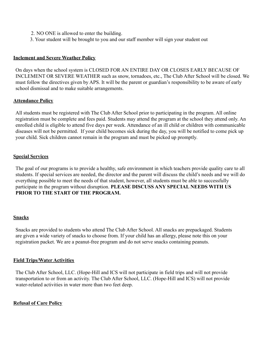- 2. NO ONE is allowed to enter the building.
- 3. Your student will be brought to you and our staff member will sign your student out

#### **Inclement and Severe Weather Policy**

On days when the school system is CLOSED FOR AN ENTIRE DAY OR CLOSES EARLY BECAUSE OF INCLEMENT OR SEVERE WEATHER such as snow, tornadoes, etc., The Club After School will be closed. We must follow the directives given by APS. It will be the parent or guardian's responsibility to be aware of early school dismissal and to make suitable arrangements.

#### **Attendance Policy**

All students must be registered with The Club After School prior to participating in the program. All online registration must be complete and fees paid. Students may attend the program at the school they attend only. An enrolled child is eligible to attend five days per week. Attendance of an ill child or children with communicable diseases will not be permitted. If your child becomes sick during the day, you will be notified to come pick up your child. Sick children cannot remain in the program and must be picked up promptly.

#### **Special Services**

The goal of our programs is to provide a healthy, safe environment in which teachers provide quality care to all students. If special services are needed, the director and the parent will discuss the child's needs and we will do everything possible to meet the needs of that student, however, all students must be able to successfully participate in the program without disruption. **PLEASE DISCUSS ANY SPECIAL NEEDS WITH US PRIOR TO THE START OF THE PROGRAM.**

#### **Snacks**

Snacks are provided to students who attend The Club After School. All snacks are prepackaged. Students are given a wide variety of snacks to choose from. If your child has an allergy, please note this on your registration packet. We are a peanut-free program and do not serve snacks containing peanuts.

#### **Field Trips/Water Activities**

The Club After School, LLC. (Hope-Hill and ICS will not participate in field trips and will not provide transportation to or from an activity. The Club After School, LLC. (Hope-Hill and ICS) will not provide water-related activities in water more than two feet deep.

#### **Refusal of Care Policy**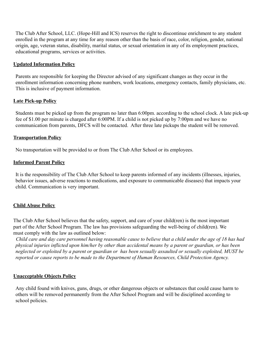The Club After School, LLC. (Hope-Hill and ICS) reserves the right to discontinue enrichment to any student enrolled in the program at any time for any reason other than the basis of race, color, religion, gender, national origin, age, veteran status, disability, marital status, or sexual orientation in any of its employment practices, educational programs, services or activities.

#### **Updated Information Policy**

Parents are responsible for keeping the Director advised of any significant changes as they occur in the enrollment information concerning phone numbers, work locations, emergency contacts, family physicians, etc. This is inclusive of payment information.

#### **Late Pick-up Policy**

Students must be picked up from the program no later than 6:00pm. according to the school clock. A late pick-up fee of \$1.00 per minute is charged after 6:00PM. If a child is not picked up by 7:00pm and we have no communication from parents, DFCS will be contacted. After three late pickups the student will be removed.

#### **Transportation Policy**

No transportation will be provided to or from The Club After School or its employees.

#### **Informed Parent Policy**

It is the responsibility of The Club After School to keep parents informed of any incidents (illnesses, injuries, behavior issues, adverse reactions to medications, and exposure to communicable diseases) that impacts your child. Communication is very important.

#### **Child Abuse Policy**

The Club After School believes that the safety, support, and care of your child(ren) is the most important part of the After School Program. The law has provisions safeguarding the well-being of child(ren). We must comply with the law as outlined below:

*Child care and day care personnel having reasonable cause to believe that a child under the age of 18 has had physical injuries inflicted upon him/her by other than accidental means by a parent or guardian, or has been neglected or exploited by a parent or guardian or has been sexually assaulted or sexually exploited, MUST be reported or cause reports to be made to the Department of Human Resources, Child Protection Agency.*

#### **Unacceptable Objects Policy**

Any child found with knives, guns, drugs, or other dangerous objects or substances that could cause harm to others will be removed permanently from the After School Program and will be disciplined according to school policies.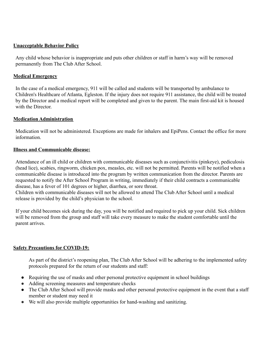#### **Unacceptable Behavior Policy**

Any child whose behavior is inappropriate and puts other children or staff in harm's way will be removed permanently from The Club After School.

#### **Medical Emergency**

In the case of a medical emergency, 911 will be called and students will be transported by ambulance to Children's Healthcare of Atlanta, Egleston. If the injury does not require 911 assistance, the child will be treated by the Director and a medical report will be completed and given to the parent. The main first-aid kit is housed with the Director.

#### **Medication Administration**

Medication will not be administered. Exceptions are made for inhalers and EpiPens. Contact the office for more information.

#### **Illness and Communicable disease:**

Attendance of an ill child or children with communicable diseases such as conjunctivitis (pinkeye), pediculosis (head lice), scabies, ringworm, chicken pox, measles, etc. will not be permitted. Parents will be notified when a communicable disease is introduced into the program by written communication from the director. Parents are requested to notify the After School Program in writing, immediately if their child contracts a communicable disease, has a fever of 101 degrees or higher, diarrhea, or sore throat. Children with communicable diseases will not be allowed to attend The Club After School until a medical

release is provided by the child's physician to the school.

If your child becomes sick during the day, you will be notified and required to pick up your child. Sick children will be removed from the group and staff will take every measure to make the student comfortable until the parent arrives.

#### **Safety Precautions for COVID-19:**

As part of the district's reopening plan, The Club After School will be adhering to the implemented safety protocols prepared for the return of our students and staff:

- Requiring the use of masks and other personal protective equipment in school buildings
- Adding screening measures and temperature checks
- The Club After School will provide masks and other personal protective equipment in the event that a staff member or student may need it
- We will also provide multiple opportunities for hand-washing and sanitizing.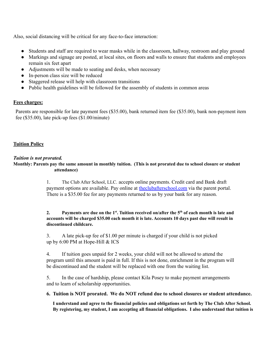Also, social distancing will be critical for any face-to-face interaction:

- Students and staff are required to wear masks while in the classroom, hallway, restroom and play ground
- Markings and signage are posted, at local sites, on floors and walls to ensure that students and employees remain six feet apart
- Adjustments will be made to seating and desks, when necessary
- In-person class size will be reduced
- Staggered release will help with classroom transitions
- Public health guidelines will be followed for the assembly of students in common areas

#### **Fees charges:**

Parents are responsible for late payment fees (\$35.00), bank returned item fee (\$35.00), bank non-payment item fee (\$35.00), late pick-up fees (\$1.00/minute)

#### **Tuition Policy**

#### *Tuition is not prorated.*

Monthly: Parents pay the same amount in monthly tuition. (This is not prorated due to school closure or student **attendance)**

> 1. The Club After School, LLC. accepts online payments. Credit card and Bank draft payment options are available. Pay online at the clubafters chool.com via the parent portal. There is a \$35.00 fee for any payments returned to us by your bank for any reason.

#### 2. Payments are due on the 1<sup>st</sup>. Tuition received on/after the  $5<sup>th</sup>$  of each month is late and **accounts will be charged \$35.00 each month it is late. Accounts 10 days past due will result in discontinued childcare.**

3. A late pick-up fee of \$1.00 per minute is charged if your child is not picked up by 6:00 PM at Hope-Hill & ICS

4. If tuition goes unpaid for 2 weeks, your child will not be allowed to attend the program until this amount is paid in full. If this is not done, enrichment in the program will be discontinued and the student will be replaced with one from the waiting list.

5. In the case of hardship, please contact Kila Posey to make payment arrangements and to learn of scholarship opportunities.

#### **6. Tuition is NOT prorated. We do NOT refund due to school closures or student attendance.**

**I understand and agree to the financial policies and obligations set forth by The Club After School. By registering, my student, I am accepting all financial obligations. I also understand that tuition is**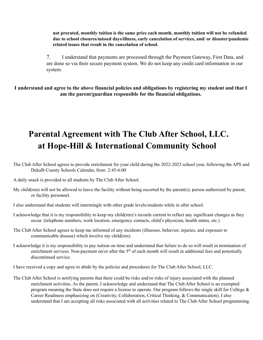**not prorated, monthly tuition is the same price each month, monthly tuition will not be refunded due to school closures/missed days/illness, early cancelation of services, and/ or disaster/pandemic related issues that result in the cancelation of school.**

7. I understand that payments are processed through the Payment Gateway, First Data, and are done so via their secure payment system. We do not keep any credit card information in our system.

**I understand and agree to the above financial policies and obligations by registering my student and that I am the parent/guardian responsible for the financial obligations.**

# **Parental Agreement with The Club After School, LLC. at Hope-Hill & International Community School**

- The Club After School agrees to provide enrichment for your child during the 2022-2023 school year, following the APS and Dekalb County Schools Calendar, from 2:45-6:00
- A daily snack is provided to all students by The Club After School.
- My child(ren) will not be allowed to leave the facility without being escorted by the parent(s), person authorized by parent, or facility personnel.
- I also understand that students will intermingle with other grade levels/students while in after school.
- I acknowledge that it is my responsibility to keep my child(ren)'s records current to reflect any significant changes as they occur. (telephone numbers, work location, emergency contacts, child's physician, health status, etc.)
- The Club After School agrees to keep me informed of any incidents (illnesses, behavior, injuries, and exposure to communicable disease) which involve my child(ren).
- I acknowledge it is my responsibility to pay tuition on time and understand that failure to do so will result in termination of enrichment services. Non-payment on/or after the  $5<sup>th</sup>$  of each month will result in additional fees and potentially discontinued service.

I have received a copy and agree to abide by the policies and procedures for The Club After School, LLC.

The Club After School is notifying parents that there could be risks and/or risks of injury associated with the planned enrichment activities. As the parent, I acknowledge and understand that The Club After School is an exempted program meaning the State does not require a license to operate. Our program follows the single skill for College  $\&$ Career Readiness emphasizing on (Creativity, Collaboration, Critical Thinking, & Communication). I also understand that I am accepting all risks associated with all activities related to The Club After School programming.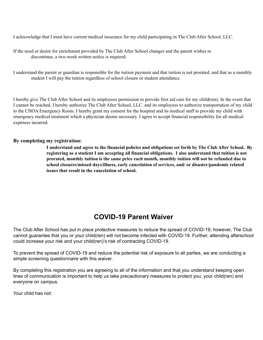I acknowledge that I must have current medical insurance for my child participating in The Club After School, LLC.

| If the need or desire for enrichment provided by The Club After School changes and the parent wishes to |
|---------------------------------------------------------------------------------------------------------|
| discontinue, a two-week written notice is required.                                                     |

I understand the parent or guardian is responsible for the tuition payment and that tuition is not prorated, and that as a monthly student I will pay the tuition regardless of school closure or student attendance.

I hereby give The Club After School and its employees permission to provide first aid care for my child(ren). In the event that I cannot be reached, I hereby authorize The Club After School, LLC. and its employees to authorize transportation of my child to the CHOA Emergency Room. I hereby grant my consent for the hospital and its medical staff to provide my child with emergency medical treatment which a physician deems necessary. I agree to accept financial responsibility for all medical expenses incurred.

#### **By completing my registration:**

I understand and agree to the financial policies and obligations set forth by The Club After School. By **registering as a student I am accepting all financial obligations. I also understand that tuition is not prorated, monthly tuition is the same price each month, monthly tuition will not be refunded due to school closures/missed days/illness, early cancelation of services, and/ or disaster/pandemic related issues that result in the cancelation of school.**

## **COVID-19 Parent Waiver**

The Club After School has put in place protective measures to reduce the spread of COVID-19; however, The Club cannot guarantee that you or your child(ren) will not become infected with COVID-19. Further, attending afterschool could increase your risk and your child(ren)'s risk of contracting COVID-19.

To prevent the spread of COVID-19 and reduce the potential risk of exposure to all parties, we are conducting a simple screening questionnaire with this waiver.

By completing this registration you are agreeing to all of the information and that you understand keeping open lines of communication is important to help us take precautionary measures to protect you, your child(ren) and everyone on campus.

Your child has not: